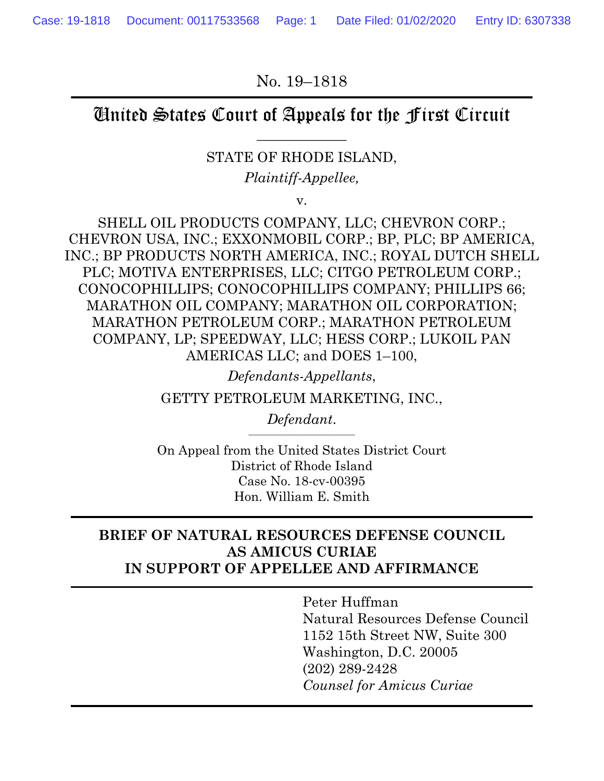No. 19–1818

# United States Court of Appeals for the First Circuit

 $\overline{\phantom{a}}$  , where  $\overline{\phantom{a}}$ 

STATE OF RHODE ISLAND,

*Plaintiff-Appellee,* 

v.

SHELL OIL PRODUCTS COMPANY, LLC; CHEVRON CORP.; CHEVRON USA, INC.; EXXONMOBIL CORP.; BP, PLC; BP AMERICA, INC.; BP PRODUCTS NORTH AMERICA, INC.; ROYAL DUTCH SHELL PLC; MOTIVA ENTERPRISES, LLC; CITGO PETROLEUM CORP.; CONOCOPHILLIPS; CONOCOPHILLIPS COMPANY; PHILLIPS 66; MARATHON OIL COMPANY; MARATHON OIL CORPORATION; MARATHON PETROLEUM CORP.; MARATHON PETROLEUM COMPANY, LP; SPEEDWAY, LLC; HESS CORP.; LUKOIL PAN AMERICAS LLC; and DOES 1–100,

*Defendants-Appellants*,

GETTY PETROLEUM MARKETING, INC.,

 $Defendant.$ 

On Appeal from the United States District Court District of Rhode Island Case No. 18-cv-00395 Hon. William E. Smith

## **BRIEF OF NATURAL RESOURCES DEFENSE COUNCIL AS AMICUS CURIAE IN SUPPORT OF APPELLEE AND AFFIRMANCE**

Peter Huffman Natural Resources Defense Council 1152 15th Street NW, Suite 300 Washington, D.C. 20005 (202) 289-2428 *Counsel for Amicus Curiae*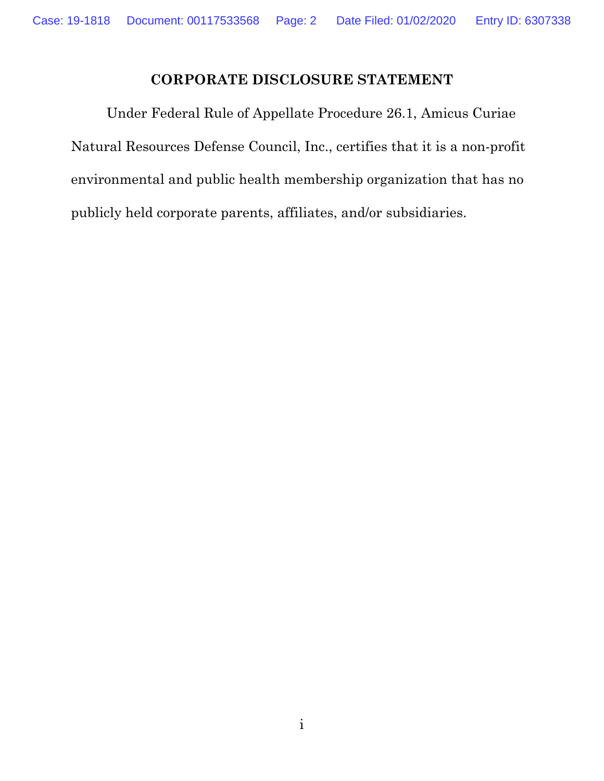# **CORPORATE DISCLOSURE STATEMENT**

 Under Federal Rule of Appellate Procedure 26.1, Amicus Curiae Natural Resources Defense Council, Inc., certifies that it is a non-profit environmental and public health membership organization that has no publicly held corporate parents, affiliates, and/or subsidiaries.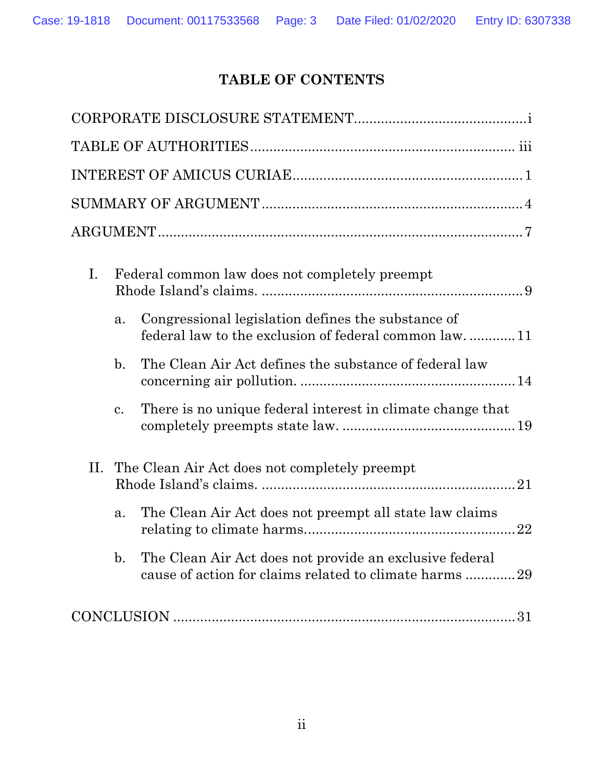# **TABLE OF CONTENTS**

| $\mathbf{I}$ . |                | Federal common law does not completely preempt                                                                    |  |  |  |
|----------------|----------------|-------------------------------------------------------------------------------------------------------------------|--|--|--|
|                | a.             | Congressional legislation defines the substance of<br>federal law to the exclusion of federal common law. 11      |  |  |  |
|                | $\mathbf{b}$ . | The Clean Air Act defines the substance of federal law                                                            |  |  |  |
|                | $\mathbf{c}$ . | There is no unique federal interest in climate change that                                                        |  |  |  |
| П.             |                | The Clean Air Act does not completely preempt                                                                     |  |  |  |
|                | a.             | The Clean Air Act does not preempt all state law claims<br>22                                                     |  |  |  |
|                | $\mathbf{b}$ . | The Clean Air Act does not provide an exclusive federal<br>cause of action for claims related to climate harms 29 |  |  |  |
|                |                |                                                                                                                   |  |  |  |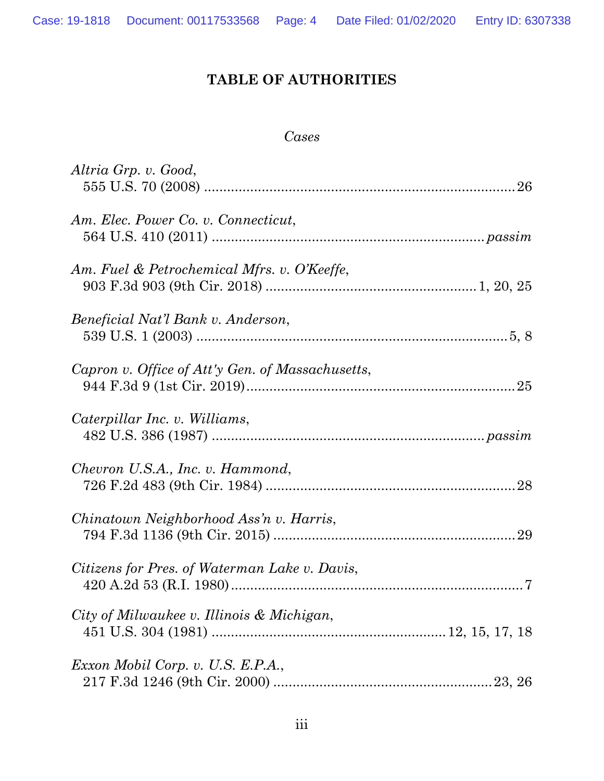# **TABLE OF AUTHORITIES**

#### *Cases*

| Altria Grp. v. Good,                             |
|--------------------------------------------------|
| Am. Elec. Power Co. v. Connecticut,              |
| Am. Fuel & Petrochemical Mfrs. v. O'Keeffe,      |
| Beneficial Nat'l Bank v. Anderson,               |
| Capron v. Office of Att'y Gen. of Massachusetts, |
| Caterpillar Inc. v. Williams,                    |
| Chevron U.S.A., Inc. v. Hammond,                 |
| Chinatown Neighborhood Ass'n v. Harris,          |
| Citizens for Pres. of Waterman Lake v. Davis,    |
| City of Milwaukee v. Illinois & Michigan,        |
| Exxon Mobil Corp. v. U.S. E.P.A.,                |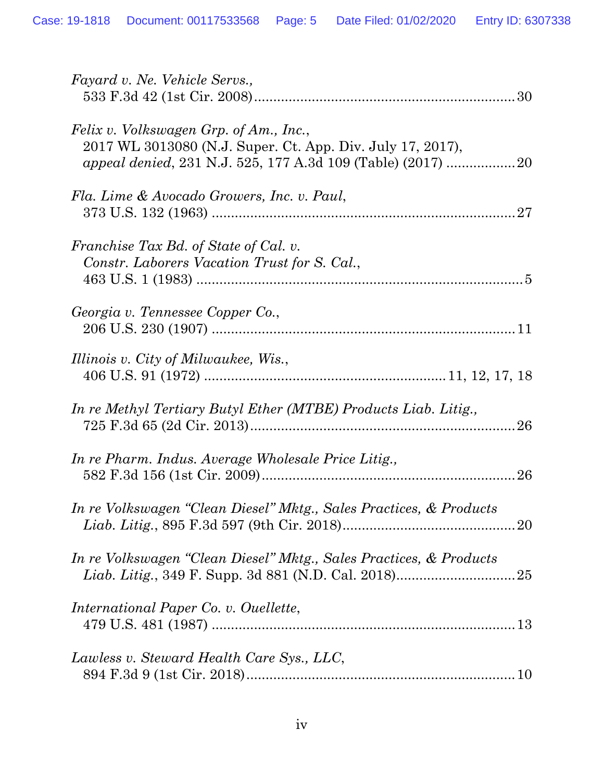| Fayard v. Ne. Vehicle Servs.,                                                                        |
|------------------------------------------------------------------------------------------------------|
| Felix v. Volkswagen Grp. of Am., Inc.,<br>2017 WL 3013080 (N.J. Super. Ct. App. Div. July 17, 2017), |
| Fla. Lime & Avocado Growers, Inc. v. Paul,                                                           |
| Franchise Tax Bd. of State of Cal. v.<br>Constr. Laborers Vacation Trust for S. Cal.,                |
| Georgia v. Tennessee Copper Co.,                                                                     |
| Illinois v. City of Milwaukee, Wis.,                                                                 |
| In re Methyl Tertiary Butyl Ether (MTBE) Products Liab. Litig.,                                      |
| In re Pharm. Indus. Average Wholesale Price Litig.,                                                  |
| In re Volkswagen "Clean Diesel" Mktg., Sales Practices, & Products                                   |
| In re Volkswagen "Clean Diesel" Mktg., Sales Practices, & Products                                   |
| <i>International Paper Co. v. Ouellette,</i>                                                         |
| Lawless v. Steward Health Care Sys., LLC,                                                            |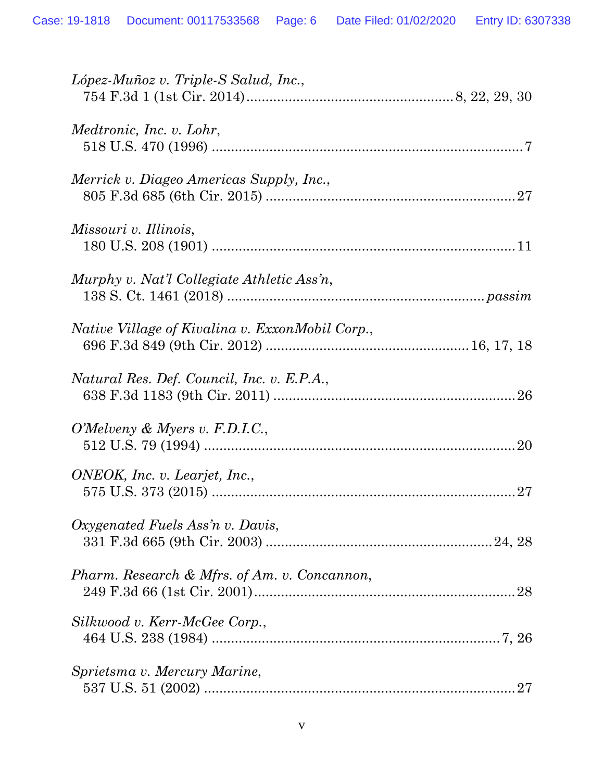| López-Muñoz v. Triple-S Salud, Inc.,            |
|-------------------------------------------------|
| <i>Medtronic, Inc. v. Lohr,</i>                 |
| Merrick v. Diageo Americas Supply, Inc.,        |
| <i>Missouri v. Illinois,</i>                    |
| Murphy v. Nat'l Collegiate Athletic Ass'n,      |
| Native Village of Kivalina v. ExxonMobil Corp., |
| Natural Res. Def. Council, Inc. v. E.P.A.,      |
| O'Melveny & Myers v. F.D.I.C.,                  |
| ONEOK, Inc. v. Learjet, Inc.,<br>27             |
| Oxygenated Fuels Ass'n v. Davis,                |
| Pharm. Research & Mfrs. of Am. v. Concannon,    |
| Silkwood v. Kerr-McGee Corp.,                   |
| Sprietsma v. Mercury Marine,<br>27              |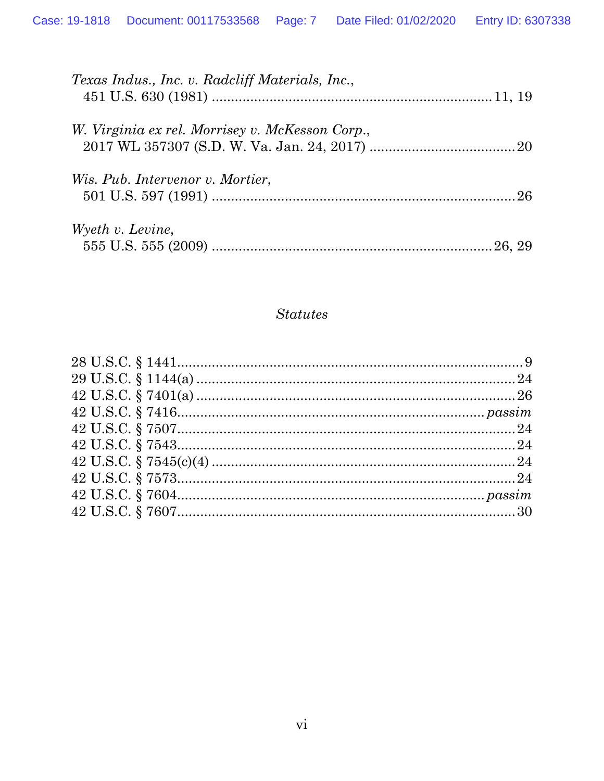| <i>Texas Indus., Inc. v. Radcliff Materials, Inc.,</i> |  |
|--------------------------------------------------------|--|
| W. Virginia ex rel. Morrisey v. McKesson Corp.,        |  |
| <i>Wis. Pub. Intervenor v. Mortier,</i>                |  |
| Wyeth v. Levine,                                       |  |

#### **Statutes**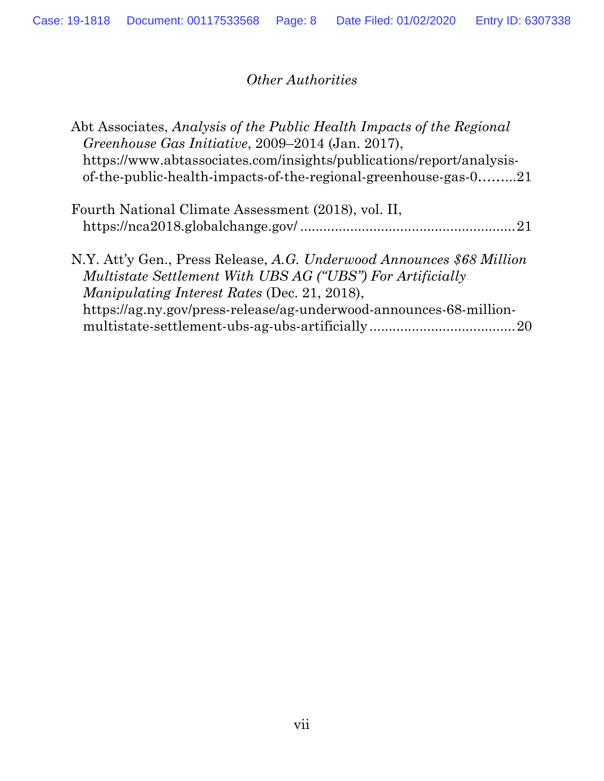# *Other Authorities*

| Abt Associates, Analysis of the Public Health Impacts of the Regional |  |
|-----------------------------------------------------------------------|--|
| Greenhouse Gas Initiative, 2009–2014 (Jan. 2017),                     |  |
| https://www.abtassociates.com/insights/publications/report/analysis-  |  |
| of-the-public-health-impacts-of-the-regional-greenhouse-gas-021       |  |

| Fourth National Climate Assessment (2018), vol. II, |  |
|-----------------------------------------------------|--|
|                                                     |  |
|                                                     |  |

| N.Y. Att'y Gen., Press Release, A.G. Underwood Announces \$68 Million |
|-----------------------------------------------------------------------|
| Multistate Settlement With UBS AG ("UBS") For Artificially            |
| <i>Manipulating Interest Rates (Dec. 21, 2018),</i>                   |
| https://ag.ny.gov/press-release/ag-underwood-announces-68-million-    |
|                                                                       |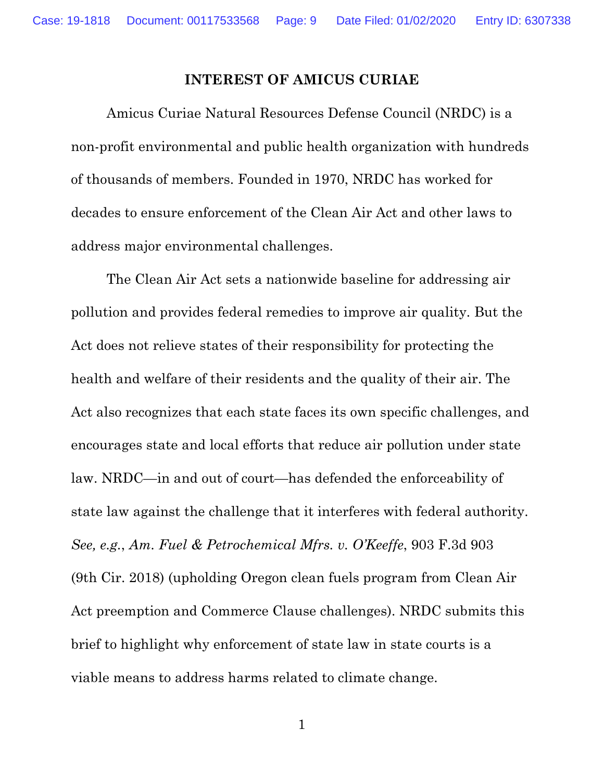#### **INTEREST OF AMICUS CURIAE**

Amicus Curiae Natural Resources Defense Council (NRDC) is a non-profit environmental and public health organization with hundreds of thousands of members. Founded in 1970, NRDC has worked for decades to ensure enforcement of the Clean Air Act and other laws to address major environmental challenges.

The Clean Air Act sets a nationwide baseline for addressing air pollution and provides federal remedies to improve air quality. But the Act does not relieve states of their responsibility for protecting the health and welfare of their residents and the quality of their air. The Act also recognizes that each state faces its own specific challenges, and encourages state and local efforts that reduce air pollution under state law. NRDC—in and out of court—has defended the enforceability of state law against the challenge that it interferes with federal authority. *See, e.g.*, *Am. Fuel & Petrochemical Mfrs. v. O'Keeffe*, 903 F.3d 903 (9th Cir. 2018) (upholding Oregon clean fuels program from Clean Air Act preemption and Commerce Clause challenges). NRDC submits this brief to highlight why enforcement of state law in state courts is a viable means to address harms related to climate change.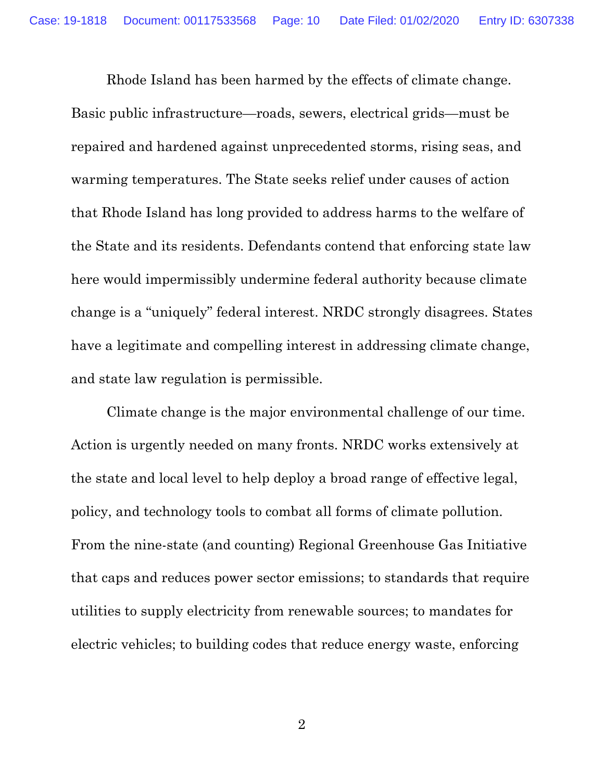Rhode Island has been harmed by the effects of climate change. Basic public infrastructure—roads, sewers, electrical grids—must be repaired and hardened against unprecedented storms, rising seas, and warming temperatures. The State seeks relief under causes of action that Rhode Island has long provided to address harms to the welfare of the State and its residents. Defendants contend that enforcing state law here would impermissibly undermine federal authority because climate change is a "uniquely" federal interest. NRDC strongly disagrees. States have a legitimate and compelling interest in addressing climate change, and state law regulation is permissible.

Climate change is the major environmental challenge of our time. Action is urgently needed on many fronts. NRDC works extensively at the state and local level to help deploy a broad range of effective legal, policy, and technology tools to combat all forms of climate pollution. From the nine-state (and counting) Regional Greenhouse Gas Initiative that caps and reduces power sector emissions; to standards that require utilities to supply electricity from renewable sources; to mandates for electric vehicles; to building codes that reduce energy waste, enforcing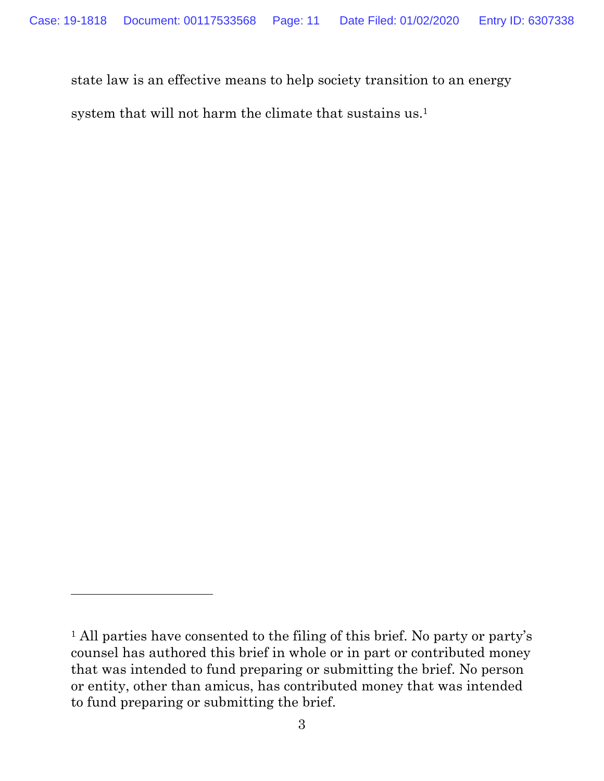state law is an effective means to help society transition to an energy

system that will not harm the climate that sustains us.1

<sup>&</sup>lt;sup>1</sup> All parties have consented to the filing of this brief. No party or party's counsel has authored this brief in whole or in part or contributed money that was intended to fund preparing or submitting the brief. No person or entity, other than amicus, has contributed money that was intended to fund preparing or submitting the brief.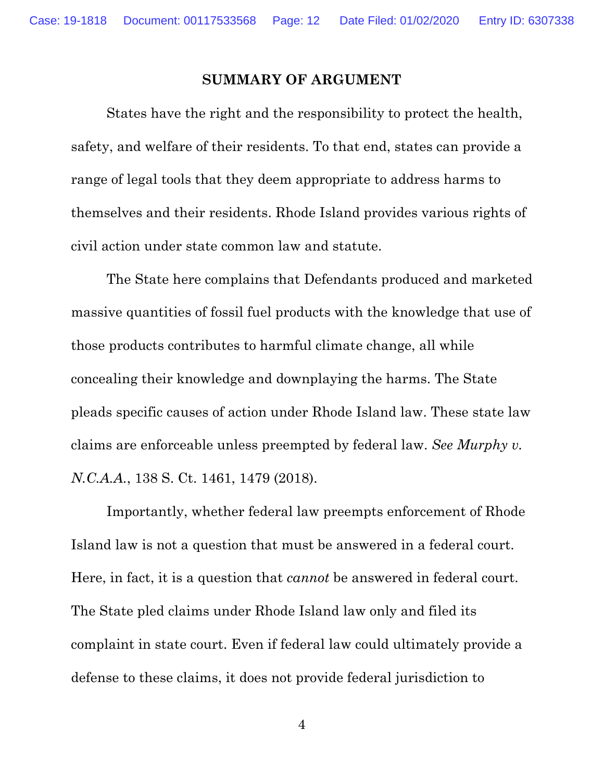#### **SUMMARY OF ARGUMENT**

States have the right and the responsibility to protect the health, safety, and welfare of their residents. To that end, states can provide a range of legal tools that they deem appropriate to address harms to themselves and their residents. Rhode Island provides various rights of civil action under state common law and statute.

The State here complains that Defendants produced and marketed massive quantities of fossil fuel products with the knowledge that use of those products contributes to harmful climate change, all while concealing their knowledge and downplaying the harms. The State pleads specific causes of action under Rhode Island law. These state law claims are enforceable unless preempted by federal law. *See Murphy v. N.C.A.A.*, 138 S. Ct. 1461, 1479 (2018).

 Importantly, whether federal law preempts enforcement of Rhode Island law is not a question that must be answered in a federal court. Here, in fact, it is a question that *cannot* be answered in federal court. The State pled claims under Rhode Island law only and filed its complaint in state court. Even if federal law could ultimately provide a defense to these claims, it does not provide federal jurisdiction to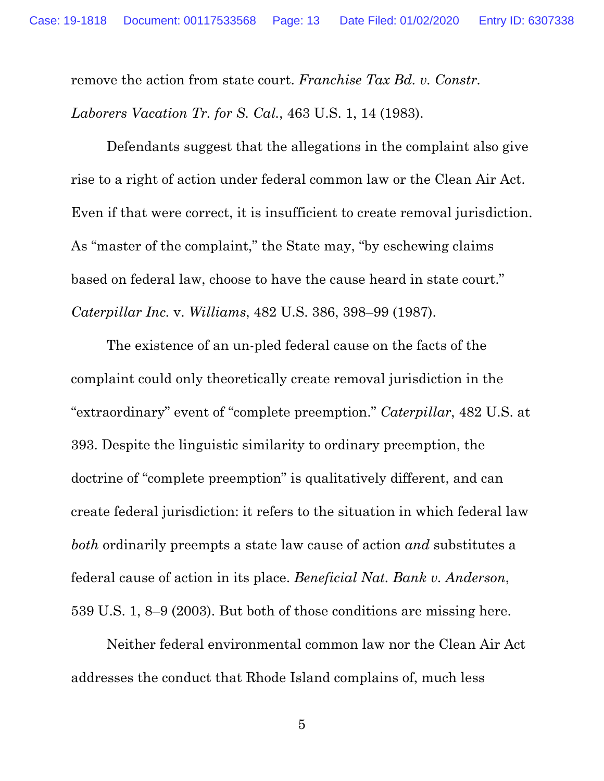remove the action from state court. *Franchise Tax Bd. v. Constr. Laborers Vacation Tr. for S. Cal.*, 463 U.S. 1, 14 (1983).

 Defendants suggest that the allegations in the complaint also give rise to a right of action under federal common law or the Clean Air Act. Even if that were correct, it is insufficient to create removal jurisdiction. As "master of the complaint," the State may, "by eschewing claims based on federal law, choose to have the cause heard in state court." *Caterpillar Inc.* v. *Williams*, 482 U.S. 386, 398–99 (1987).

 The existence of an un-pled federal cause on the facts of the complaint could only theoretically create removal jurisdiction in the "extraordinary" event of "complete preemption." *Caterpillar*, 482 U.S. at 393. Despite the linguistic similarity to ordinary preemption, the doctrine of "complete preemption" is qualitatively different, and can create federal jurisdiction: it refers to the situation in which federal law *both* ordinarily preempts a state law cause of action *and* substitutes a federal cause of action in its place. *Beneficial Nat. Bank v. Anderson*, 539 U.S. 1, 8–9 (2003). But both of those conditions are missing here.

 Neither federal environmental common law nor the Clean Air Act addresses the conduct that Rhode Island complains of, much less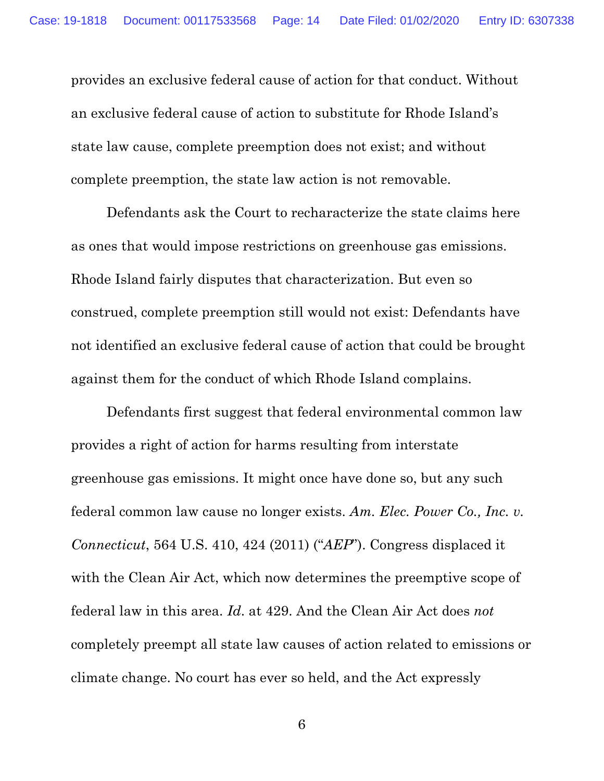provides an exclusive federal cause of action for that conduct. Without an exclusive federal cause of action to substitute for Rhode Island's state law cause, complete preemption does not exist; and without complete preemption, the state law action is not removable.

Defendants ask the Court to recharacterize the state claims here as ones that would impose restrictions on greenhouse gas emissions. Rhode Island fairly disputes that characterization. But even so construed, complete preemption still would not exist: Defendants have not identified an exclusive federal cause of action that could be brought against them for the conduct of which Rhode Island complains.

Defendants first suggest that federal environmental common law provides a right of action for harms resulting from interstate greenhouse gas emissions. It might once have done so, but any such federal common law cause no longer exists. *Am. Elec. Power Co., Inc. v. Connecticut*, 564 U.S. 410, 424 (2011) ("*AEP*"). Congress displaced it with the Clean Air Act, which now determines the preemptive scope of federal law in this area. *Id*. at 429. And the Clean Air Act does *not* completely preempt all state law causes of action related to emissions or climate change. No court has ever so held, and the Act expressly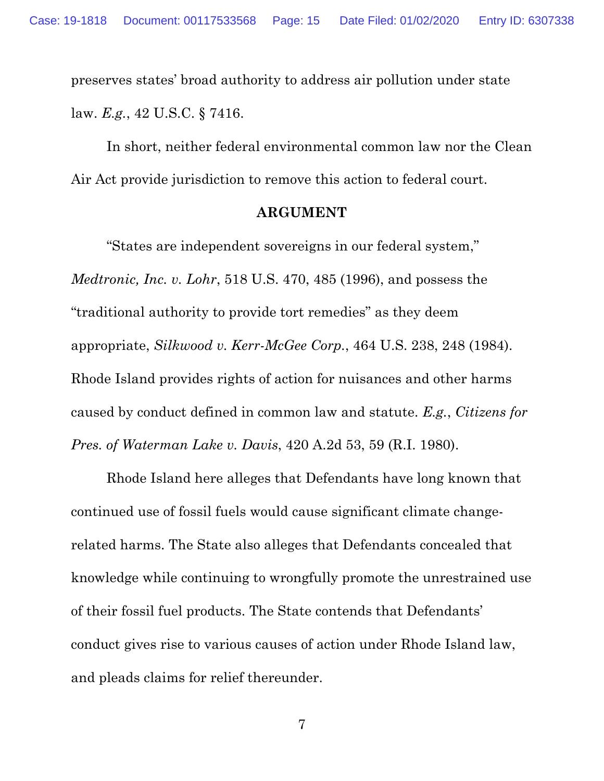preserves states' broad authority to address air pollution under state law. *E.g.*, 42 U.S.C. § 7416.

In short, neither federal environmental common law nor the Clean Air Act provide jurisdiction to remove this action to federal court.

#### **ARGUMENT**

"States are independent sovereigns in our federal system," *Medtronic, Inc. v. Lohr*, 518 U.S. 470, 485 (1996), and possess the "traditional authority to provide tort remedies" as they deem appropriate, *Silkwood v. Kerr-McGee Corp.*, 464 U.S. 238, 248 (1984). Rhode Island provides rights of action for nuisances and other harms caused by conduct defined in common law and statute. *E.g.*, *Citizens for Pres. of Waterman Lake v. Davis*, 420 A.2d 53, 59 (R.I. 1980).

Rhode Island here alleges that Defendants have long known that continued use of fossil fuels would cause significant climate changerelated harms. The State also alleges that Defendants concealed that knowledge while continuing to wrongfully promote the unrestrained use of their fossil fuel products. The State contends that Defendants' conduct gives rise to various causes of action under Rhode Island law, and pleads claims for relief thereunder.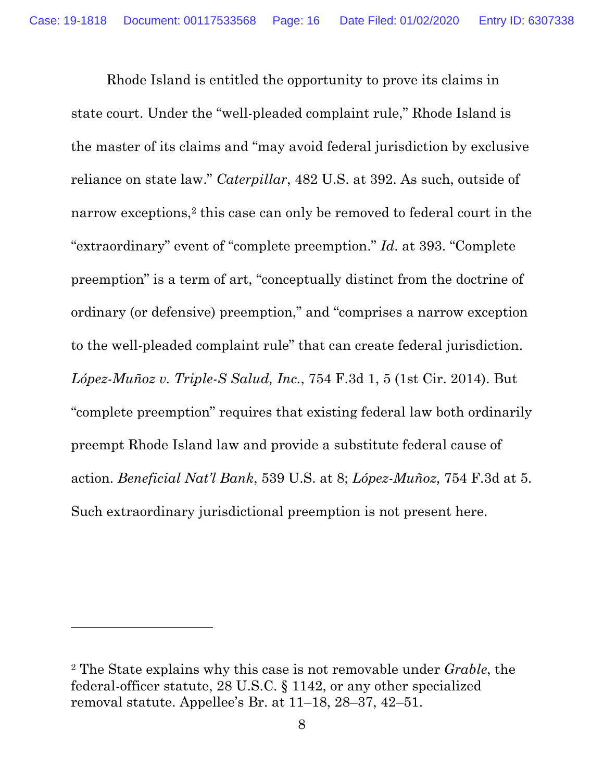Rhode Island is entitled the opportunity to prove its claims in state court. Under the "well-pleaded complaint rule," Rhode Island is the master of its claims and "may avoid federal jurisdiction by exclusive reliance on state law." *Caterpillar*, 482 U.S. at 392. As such, outside of narrow exceptions,<sup>2</sup> this case can only be removed to federal court in the "extraordinary" event of "complete preemption." *Id*. at 393. "Complete preemption" is a term of art, "conceptually distinct from the doctrine of ordinary (or defensive) preemption," and "comprises a narrow exception to the well-pleaded complaint rule" that can create federal jurisdiction. *López-Muñoz v. Triple-S Salud, Inc.*, 754 F.3d 1, 5 (1st Cir. 2014). But "complete preemption" requires that existing federal law both ordinarily preempt Rhode Island law and provide a substitute federal cause of action. *Beneficial Nat'l Bank*, 539 U.S. at 8; *López-Muñoz*, 754 F.3d at 5. Such extraordinary jurisdictional preemption is not present here.

<sup>2</sup> The State explains why this case is not removable under *Grable*, the federal-officer statute, 28 U.S.C. § 1142, or any other specialized removal statute. Appellee's Br. at 11–18, 28–37, 42–51.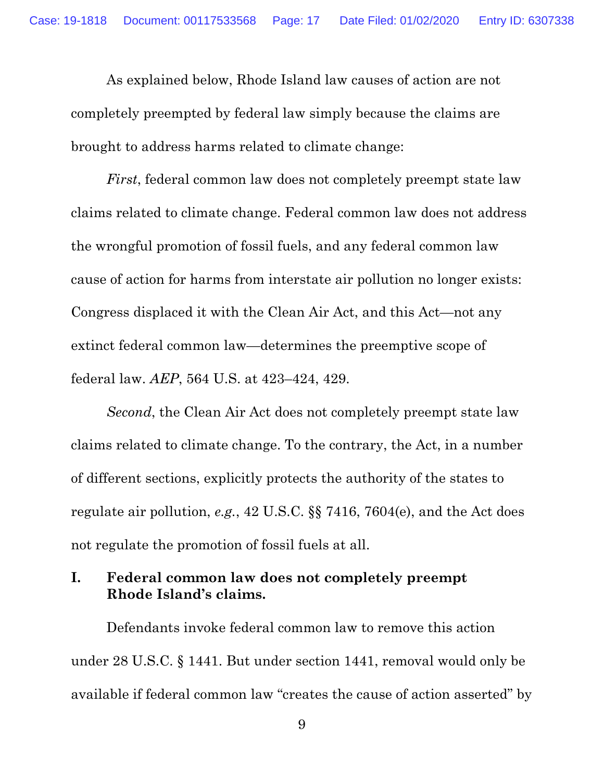As explained below, Rhode Island law causes of action are not completely preempted by federal law simply because the claims are brought to address harms related to climate change:

*First*, federal common law does not completely preempt state law claims related to climate change. Federal common law does not address the wrongful promotion of fossil fuels, and any federal common law cause of action for harms from interstate air pollution no longer exists: Congress displaced it with the Clean Air Act, and this Act—not any extinct federal common law—determines the preemptive scope of federal law. *AEP*, 564 U.S. at 423–424, 429.

*Second*, the Clean Air Act does not completely preempt state law claims related to climate change. To the contrary, the Act, in a number of different sections, explicitly protects the authority of the states to regulate air pollution, *e.g.*, 42 U.S.C. §§ 7416, 7604(e), and the Act does not regulate the promotion of fossil fuels at all.

#### **I. Federal common law does not completely preempt Rhode Island's claims.**

Defendants invoke federal common law to remove this action under 28 U.S.C. § 1441. But under section 1441, removal would only be available if federal common law "creates the cause of action asserted" by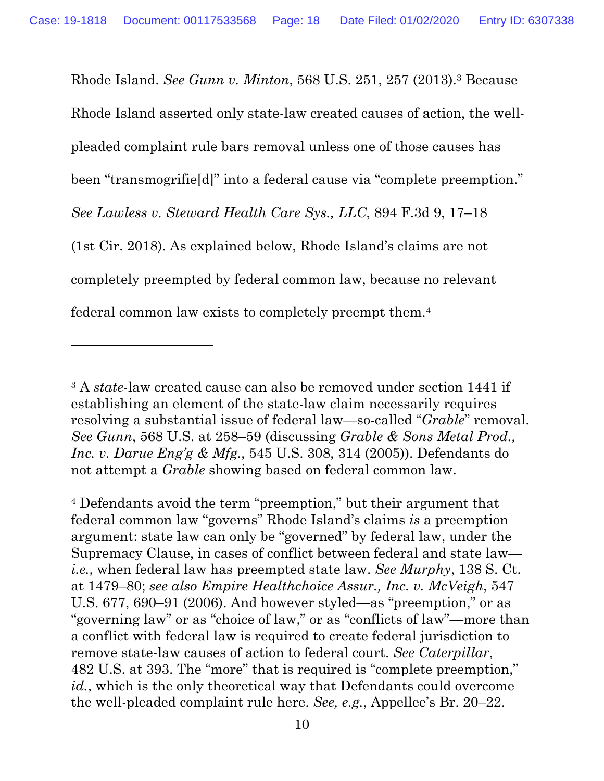Rhode Island. *See Gunn v. Minton*, 568 U.S. 251, 257 (2013).3 Because Rhode Island asserted only state-law created causes of action, the wellpleaded complaint rule bars removal unless one of those causes has been "transmogrifie[d]" into a federal cause via "complete preemption." *See Lawless v. Steward Health Care Sys., LLC*, 894 F.3d 9, 17–18 (1st Cir. 2018). As explained below, Rhode Island's claims are not completely preempted by federal common law, because no relevant federal common law exists to completely preempt them.4

<sup>3</sup> A *state*-law created cause can also be removed under section 1441 if establishing an element of the state-law claim necessarily requires resolving a substantial issue of federal law—so-called "*Grable*" removal. *See Gunn*, 568 U.S. at 258–59 (discussing *Grable & Sons Metal Prod., Inc. v. Darue Eng'g & Mfg.*, 545 U.S. 308, 314 (2005)). Defendants do not attempt a *Grable* showing based on federal common law.

<sup>4</sup> Defendants avoid the term "preemption," but their argument that federal common law "governs" Rhode Island's claims *is* a preemption argument: state law can only be "governed" by federal law, under the Supremacy Clause, in cases of conflict between federal and state law *i.e.*, when federal law has preempted state law. *See Murphy*, 138 S. Ct. at 1479–80; *see also Empire Healthchoice Assur., Inc. v. McVeigh*, 547 U.S. 677, 690–91 (2006). And however styled—as "preemption," or as "governing law" or as "choice of law," or as "conflicts of law"—more than a conflict with federal law is required to create federal jurisdiction to remove state-law causes of action to federal court. *See Caterpillar*, 482 U.S. at 393. The "more" that is required is "complete preemption," *id.*, which is the only theoretical way that Defendants could overcome the well-pleaded complaint rule here. *See, e.g.*, Appellee's Br. 20–22.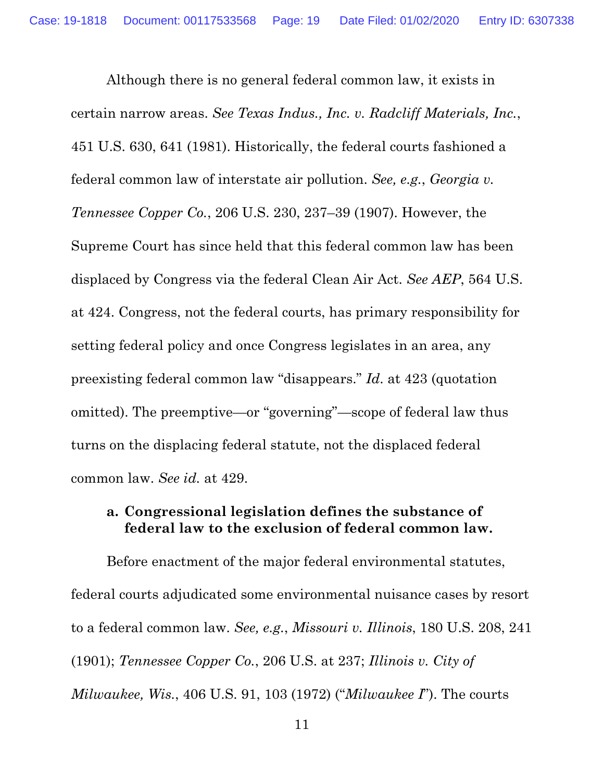Although there is no general federal common law, it exists in certain narrow areas. *See Texas Indus., Inc. v. Radcliff Materials, Inc.*, 451 U.S. 630, 641 (1981). Historically, the federal courts fashioned a federal common law of interstate air pollution. *See, e.g.*, *Georgia v. Tennessee Copper Co.*, 206 U.S. 230, 237–39 (1907). However, the Supreme Court has since held that this federal common law has been displaced by Congress via the federal Clean Air Act. *See AEP*, 564 U.S. at 424. Congress, not the federal courts, has primary responsibility for setting federal policy and once Congress legislates in an area, any preexisting federal common law "disappears." *Id*. at 423 (quotation omitted). The preemptive—or "governing"—scope of federal law thus turns on the displacing federal statute, not the displaced federal common law. *See id.* at 429.

#### **a. Congressional legislation defines the substance of federal law to the exclusion of federal common law.**

Before enactment of the major federal environmental statutes, federal courts adjudicated some environmental nuisance cases by resort to a federal common law. *See, e.g.*, *Missouri v. Illinois*, 180 U.S. 208, 241 (1901); *Tennessee Copper Co.*, 206 U.S. at 237; *Illinois v. City of Milwaukee, Wis.*, 406 U.S. 91, 103 (1972) ("*Milwaukee I*"). The courts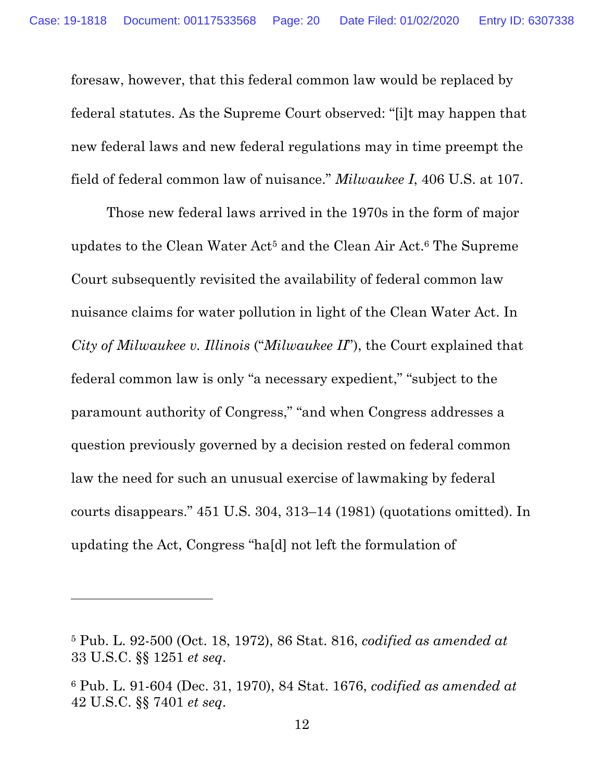foresaw, however, that this federal common law would be replaced by federal statutes. As the Supreme Court observed: "[i]t may happen that new federal laws and new federal regulations may in time preempt the field of federal common law of nuisance." *Milwaukee I*, 406 U.S. at 107.

Those new federal laws arrived in the 1970s in the form of major updates to the Clean Water Act<sup>5</sup> and the Clean Air Act.<sup>6</sup> The Supreme Court subsequently revisited the availability of federal common law nuisance claims for water pollution in light of the Clean Water Act. In *City of Milwaukee v. Illinois* ("*Milwaukee II*"), the Court explained that federal common law is only "a necessary expedient," "subject to the paramount authority of Congress," "and when Congress addresses a question previously governed by a decision rested on federal common law the need for such an unusual exercise of lawmaking by federal courts disappears." 451 U.S. 304, 313–14 (1981) (quotations omitted). In updating the Act, Congress "ha[d] not left the formulation of

<sup>5</sup> Pub. L. 92-500 (Oct. 18, 1972), 86 Stat. 816, *codified as amended at*  33 U.S.C. §§ 1251 *et seq*.

<sup>6</sup> Pub. L. 91-604 (Dec. 31, 1970), 84 Stat. 1676, *codified as amended at*  42 U.S.C. §§ 7401 *et seq*.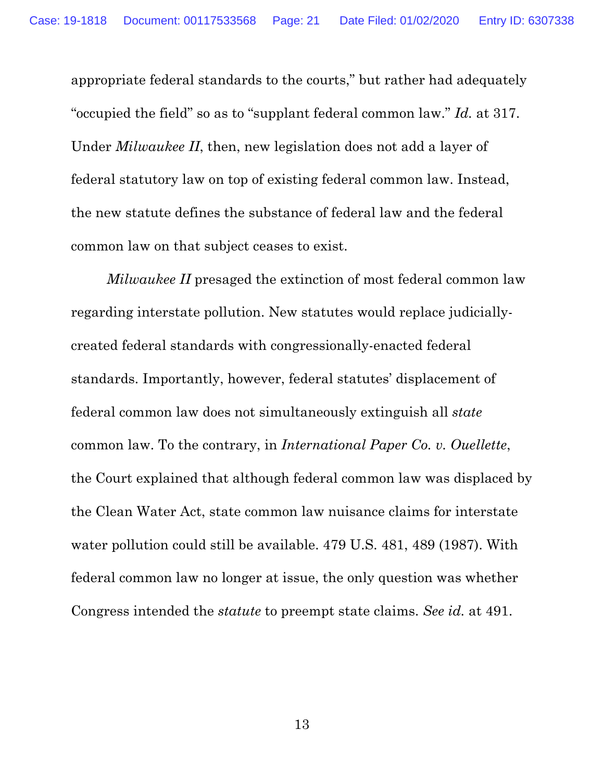appropriate federal standards to the courts," but rather had adequately "occupied the field" so as to "supplant federal common law." *Id.* at 317. Under *Milwaukee II*, then, new legislation does not add a layer of federal statutory law on top of existing federal common law. Instead, the new statute defines the substance of federal law and the federal common law on that subject ceases to exist.

*Milwaukee II* presaged the extinction of most federal common law regarding interstate pollution. New statutes would replace judiciallycreated federal standards with congressionally-enacted federal standards. Importantly, however, federal statutes' displacement of federal common law does not simultaneously extinguish all *state* common law. To the contrary, in *International Paper Co. v. Ouellette*, the Court explained that although federal common law was displaced by the Clean Water Act, state common law nuisance claims for interstate water pollution could still be available. 479 U.S. 481, 489 (1987). With federal common law no longer at issue, the only question was whether Congress intended the *statute* to preempt state claims. *See id.* at 491.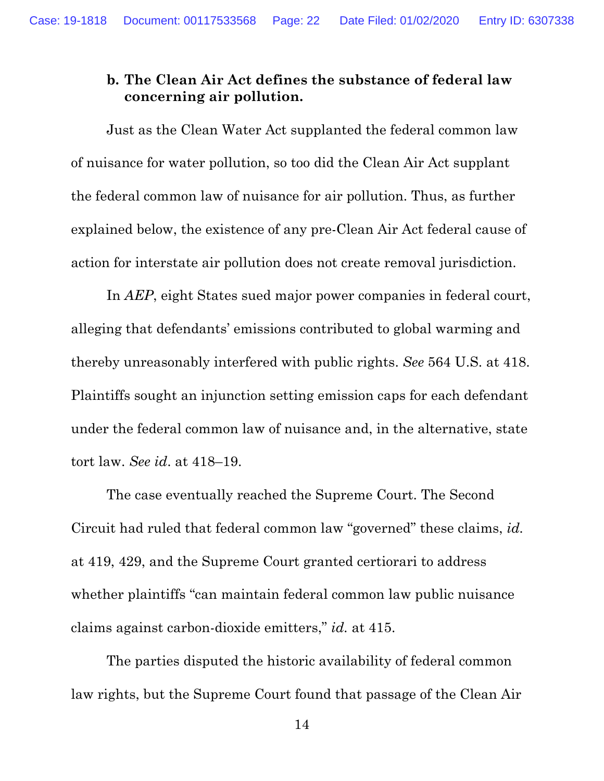# **b. The Clean Air Act defines the substance of federal law concerning air pollution.**

Just as the Clean Water Act supplanted the federal common law of nuisance for water pollution, so too did the Clean Air Act supplant the federal common law of nuisance for air pollution. Thus, as further explained below, the existence of any pre-Clean Air Act federal cause of action for interstate air pollution does not create removal jurisdiction.

In *AEP*, eight States sued major power companies in federal court, alleging that defendants' emissions contributed to global warming and thereby unreasonably interfered with public rights. *See* 564 U.S. at 418. Plaintiffs sought an injunction setting emission caps for each defendant under the federal common law of nuisance and, in the alternative, state tort law. *See id*. at 418–19.

The case eventually reached the Supreme Court. The Second Circuit had ruled that federal common law "governed" these claims, *id.* at 419, 429, and the Supreme Court granted certiorari to address whether plaintiffs "can maintain federal common law public nuisance claims against carbon-dioxide emitters," *id.* at 415.

The parties disputed the historic availability of federal common law rights, but the Supreme Court found that passage of the Clean Air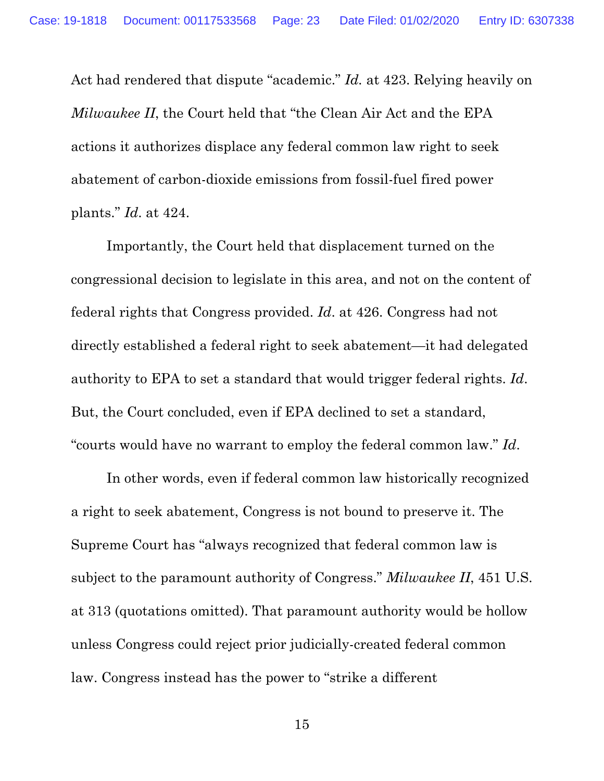Act had rendered that dispute "academic." *Id.* at 423. Relying heavily on *Milwaukee II*, the Court held that "the Clean Air Act and the EPA actions it authorizes displace any federal common law right to seek abatement of carbon-dioxide emissions from fossil-fuel fired power plants." *Id*. at 424.

Importantly, the Court held that displacement turned on the congressional decision to legislate in this area, and not on the content of federal rights that Congress provided. *Id*. at 426. Congress had not directly established a federal right to seek abatement—it had delegated authority to EPA to set a standard that would trigger federal rights. *Id*. But, the Court concluded, even if EPA declined to set a standard, "courts would have no warrant to employ the federal common law." *Id*.

In other words, even if federal common law historically recognized a right to seek abatement, Congress is not bound to preserve it. The Supreme Court has "always recognized that federal common law is subject to the paramount authority of Congress." *Milwaukee II*, 451 U.S. at 313 (quotations omitted). That paramount authority would be hollow unless Congress could reject prior judicially-created federal common law. Congress instead has the power to "strike a different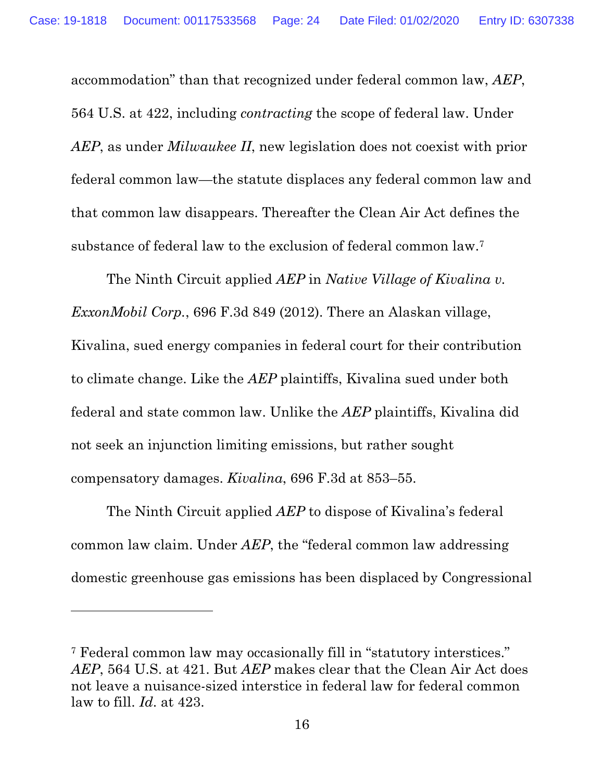accommodation" than that recognized under federal common law, *AEP*, 564 U.S. at 422, including *contracting* the scope of federal law. Under *AEP*, as under *Milwaukee II*, new legislation does not coexist with prior federal common law—the statute displaces any federal common law and that common law disappears. Thereafter the Clean Air Act defines the substance of federal law to the exclusion of federal common law.7

The Ninth Circuit applied *AEP* in *Native Village of Kivalina v. ExxonMobil Corp.*, 696 F.3d 849 (2012). There an Alaskan village, Kivalina, sued energy companies in federal court for their contribution to climate change. Like the *AEP* plaintiffs, Kivalina sued under both federal and state common law. Unlike the *AEP* plaintiffs, Kivalina did not seek an injunction limiting emissions, but rather sought compensatory damages. *Kivalina*, 696 F.3d at 853–55.

The Ninth Circuit applied *AEP* to dispose of Kivalina's federal common law claim. Under *AEP*, the "federal common law addressing domestic greenhouse gas emissions has been displaced by Congressional

<sup>7</sup> Federal common law may occasionally fill in "statutory interstices." *AEP*, 564 U.S. at 421. But *AEP* makes clear that the Clean Air Act does not leave a nuisance-sized interstice in federal law for federal common law to fill. *Id*. at 423.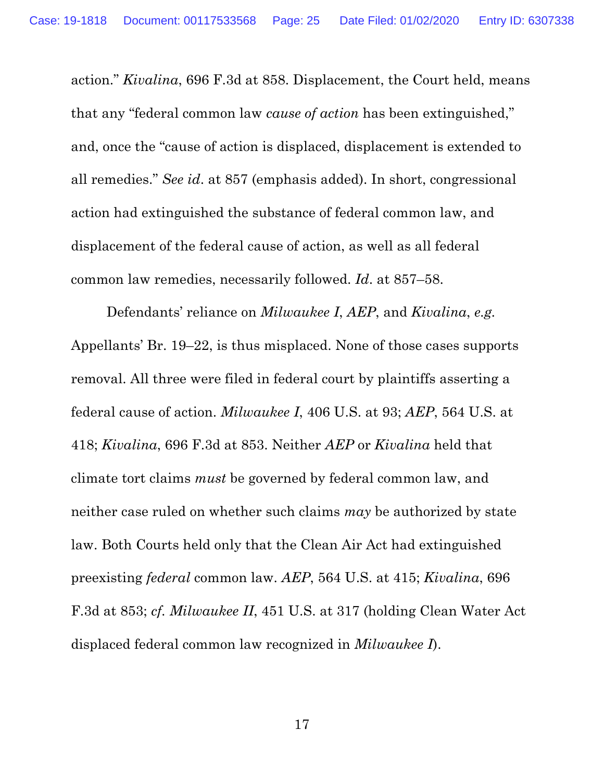action." *Kivalina*, 696 F.3d at 858. Displacement, the Court held, means that any "federal common law *cause of action* has been extinguished," and, once the "cause of action is displaced, displacement is extended to all remedies." *See id*. at 857 (emphasis added). In short, congressional action had extinguished the substance of federal common law, and displacement of the federal cause of action, as well as all federal common law remedies, necessarily followed. *Id*. at 857–58.

Defendants' reliance on *Milwaukee I*, *AEP*, and *Kivalina*, *e.g.* Appellants' Br. 19–22, is thus misplaced. None of those cases supports removal. All three were filed in federal court by plaintiffs asserting a federal cause of action. *Milwaukee I*, 406 U.S. at 93; *AEP*, 564 U.S. at 418; *Kivalina*, 696 F.3d at 853. Neither *AEP* or *Kivalina* held that climate tort claims *must* be governed by federal common law, and neither case ruled on whether such claims *may* be authorized by state law. Both Courts held only that the Clean Air Act had extinguished preexisting *federal* common law. *AEP*, 564 U.S. at 415; *Kivalina*, 696 F.3d at 853; *cf. Milwaukee II*, 451 U.S. at 317 (holding Clean Water Act displaced federal common law recognized in *Milwaukee I*).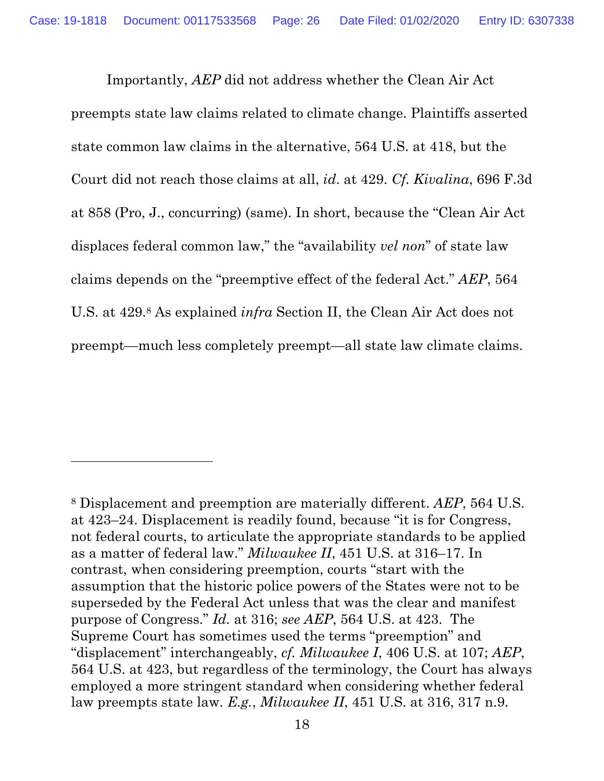Importantly, *AEP* did not address whether the Clean Air Act preempts state law claims related to climate change. Plaintiffs asserted state common law claims in the alternative, 564 U.S. at 418, but the Court did not reach those claims at all, *id*. at 429. *Cf. Kivalina*, 696 F.3d at 858 (Pro, J., concurring) (same). In short, because the "Clean Air Act displaces federal common law," the "availability *vel non*" of state law claims depends on the "preemptive effect of the federal Act." *AEP*, 564 U.S. at 429.8 As explained *infra* Section II, the Clean Air Act does not preempt—much less completely preempt—all state law climate claims.

<sup>8</sup> Displacement and preemption are materially different. *AEP*, 564 U.S. at 423–24. Displacement is readily found, because "it is for Congress, not federal courts, to articulate the appropriate standards to be applied as a matter of federal law." *Milwaukee II*, 451 U.S. at 316–17. In contrast, when considering preemption, courts "start with the assumption that the historic police powers of the States were not to be superseded by the Federal Act unless that was the clear and manifest purpose of Congress." *Id.* at 316; *see AEP*, 564 U.S. at 423. The Supreme Court has sometimes used the terms "preemption" and "displacement" interchangeably, *cf. Milwaukee I*, 406 U.S. at 107; *AEP*, 564 U.S. at 423, but regardless of the terminology, the Court has always employed a more stringent standard when considering whether federal law preempts state law. *E.g.*, *Milwaukee II*, 451 U.S. at 316, 317 n.9.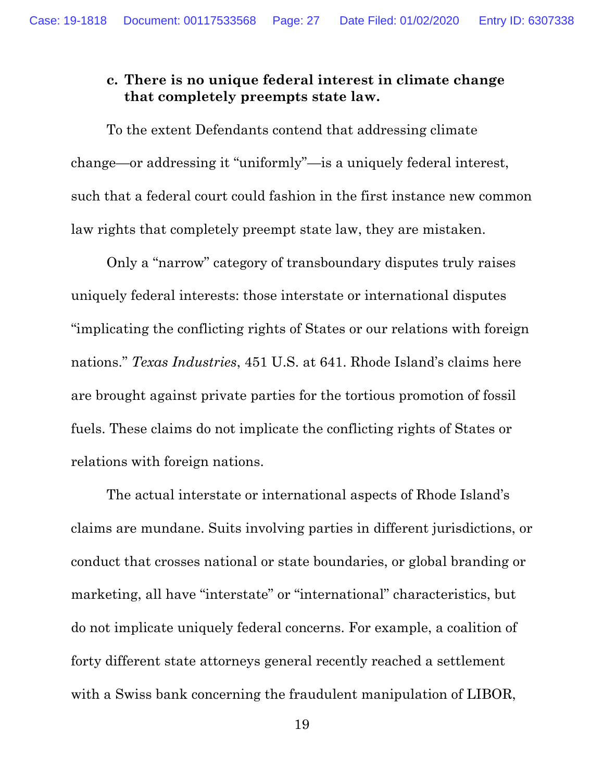## **c. There is no unique federal interest in climate change that completely preempts state law.**

To the extent Defendants contend that addressing climate change—or addressing it "uniformly"—is a uniquely federal interest, such that a federal court could fashion in the first instance new common law rights that completely preempt state law, they are mistaken.

Only a "narrow" category of transboundary disputes truly raises uniquely federal interests: those interstate or international disputes "implicating the conflicting rights of States or our relations with foreign nations." *Texas Industries*, 451 U.S. at 641. Rhode Island's claims here are brought against private parties for the tortious promotion of fossil fuels. These claims do not implicate the conflicting rights of States or relations with foreign nations.

The actual interstate or international aspects of Rhode Island's claims are mundane. Suits involving parties in different jurisdictions, or conduct that crosses national or state boundaries, or global branding or marketing, all have "interstate" or "international" characteristics, but do not implicate uniquely federal concerns. For example, a coalition of forty different state attorneys general recently reached a settlement with a Swiss bank concerning the fraudulent manipulation of LIBOR,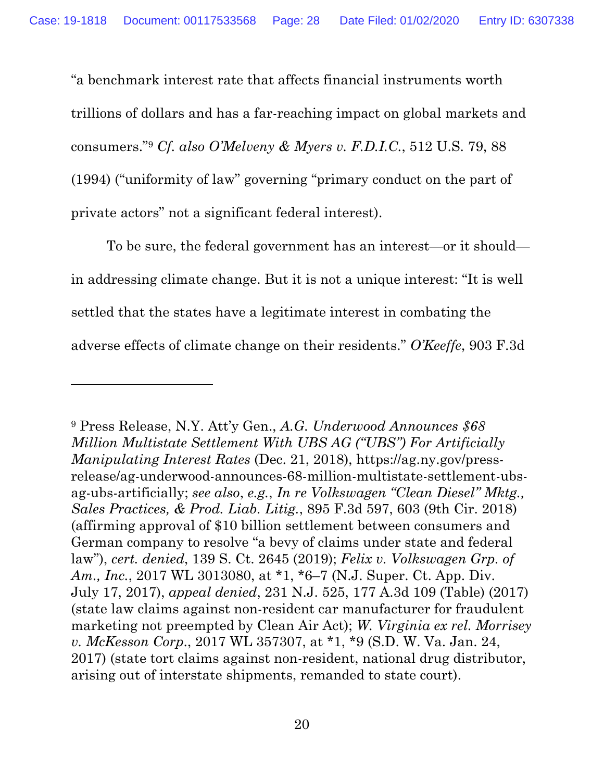"a benchmark interest rate that affects financial instruments worth trillions of dollars and has a far-reaching impact on global markets and consumers."9 *Cf. also O'Melveny & Myers v. F.D.I.C.*, 512 U.S. 79, 88 (1994) ("uniformity of law" governing "primary conduct on the part of private actors" not a significant federal interest).

To be sure, the federal government has an interest—or it should in addressing climate change. But it is not a unique interest: "It is well settled that the states have a legitimate interest in combating the adverse effects of climate change on their residents." *O'Keeffe*, 903 F.3d

<sup>9</sup> Press Release, N.Y. Att'y Gen., *A.G. Underwood Announces \$68 Million Multistate Settlement With UBS AG ("UBS") For Artificially Manipulating Interest Rates* (Dec. 21, 2018), https://ag.ny.gov/pressrelease/ag-underwood-announces-68-million-multistate-settlement-ubsag-ubs-artificially; *see also*, *e.g.*, *In re Volkswagen "Clean Diesel" Mktg., Sales Practices, & Prod. Liab. Litig.*, 895 F.3d 597, 603 (9th Cir. 2018) (affirming approval of \$10 billion settlement between consumers and German company to resolve "a bevy of claims under state and federal law"), *cert. denied*, 139 S. Ct. 2645 (2019); *Felix v. Volkswagen Grp. of Am., Inc.*, 2017 WL 3013080, at \*1, \*6–7 (N.J. Super. Ct. App. Div. July 17, 2017), *appeal denied*, 231 N.J. 525, 177 A.3d 109 (Table) (2017) (state law claims against non-resident car manufacturer for fraudulent marketing not preempted by Clean Air Act); *W. Virginia ex rel. Morrisey v. McKesson Corp*., 2017 WL 357307, at \*1, \*9 (S.D. W. Va. Jan. 24, 2017) (state tort claims against non-resident, national drug distributor, arising out of interstate shipments, remanded to state court).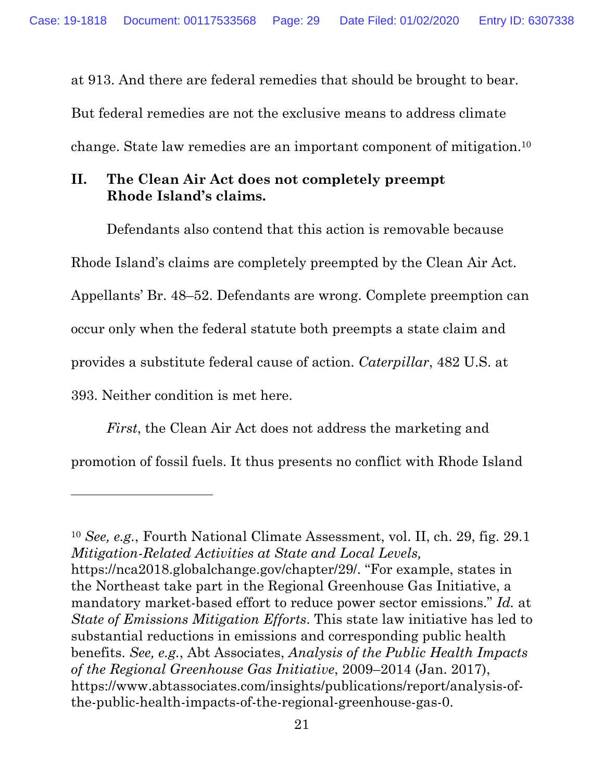at 913. And there are federal remedies that should be brought to bear. But federal remedies are not the exclusive means to address climate

change. State law remedies are an important component of mitigation.10

# **II. The Clean Air Act does not completely preempt Rhode Island's claims.**

Defendants also contend that this action is removable because Rhode Island's claims are completely preempted by the Clean Air Act. Appellants' Br. 48–52. Defendants are wrong. Complete preemption can occur only when the federal statute both preempts a state claim and provides a substitute federal cause of action. *Caterpillar*, 482 U.S. at 393. Neither condition is met here.

*First*, the Clean Air Act does not address the marketing and promotion of fossil fuels. It thus presents no conflict with Rhode Island

<sup>10</sup> *See, e.g.*, Fourth National Climate Assessment, vol. II, ch. 29, fig. 29.1 *Mitigation-Related Activities at State and Local Levels,* https://nca2018.globalchange.gov/chapter/29/. "For example, states in the Northeast take part in the Regional Greenhouse Gas Initiative, a mandatory market-based effort to reduce power sector emissions." *Id.* at *State of Emissions Mitigation Efforts*. This state law initiative has led to substantial reductions in emissions and corresponding public health benefits. *See, e.g.*, Abt Associates, *Analysis of the Public Health Impacts of the Regional Greenhouse Gas Initiative*, 2009–2014 (Jan. 2017), https://www.abtassociates.com/insights/publications/report/analysis-ofthe-public-health-impacts-of-the-regional-greenhouse-gas-0.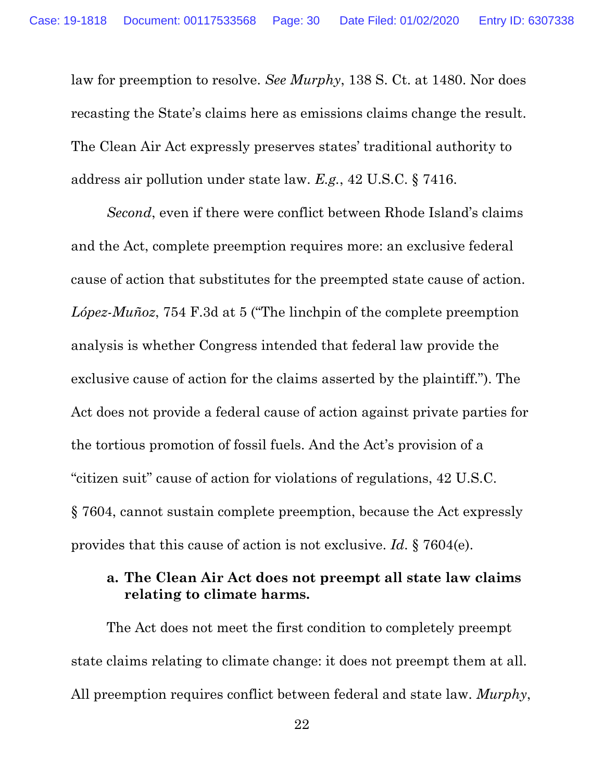law for preemption to resolve. *See Murphy*, 138 S. Ct. at 1480. Nor does recasting the State's claims here as emissions claims change the result. The Clean Air Act expressly preserves states' traditional authority to address air pollution under state law. *E.g.*, 42 U.S.C. § 7416.

*Second*, even if there were conflict between Rhode Island's claims and the Act, complete preemption requires more: an exclusive federal cause of action that substitutes for the preempted state cause of action. *López-Muñoz*, 754 F.3d at 5 ("The linchpin of the complete preemption analysis is whether Congress intended that federal law provide the exclusive cause of action for the claims asserted by the plaintiff."). The Act does not provide a federal cause of action against private parties for the tortious promotion of fossil fuels. And the Act's provision of a "citizen suit" cause of action for violations of regulations, 42 U.S.C. § 7604, cannot sustain complete preemption, because the Act expressly provides that this cause of action is not exclusive. *Id*. § 7604(e).

### **a. The Clean Air Act does not preempt all state law claims relating to climate harms.**

The Act does not meet the first condition to completely preempt state claims relating to climate change: it does not preempt them at all. All preemption requires conflict between federal and state law. *Murphy*,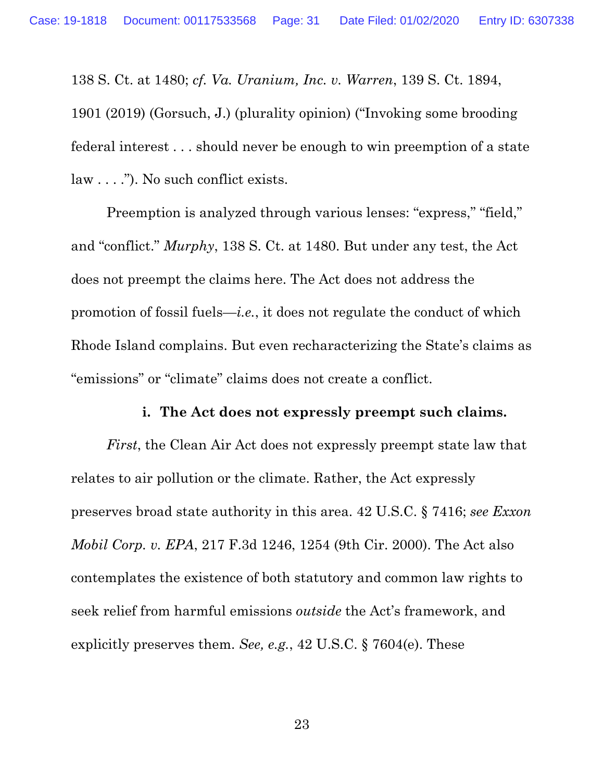138 S. Ct. at 1480; *cf. Va. Uranium, Inc. v. Warren*, 139 S. Ct. 1894, 1901 (2019) (Gorsuch, J.) (plurality opinion) ("Invoking some brooding federal interest . . . should never be enough to win preemption of a state law . . . ."). No such conflict exists.

Preemption is analyzed through various lenses: "express," "field," and "conflict." *Murphy*, 138 S. Ct. at 1480. But under any test, the Act does not preempt the claims here. The Act does not address the promotion of fossil fuels—*i.e.*, it does not regulate the conduct of which Rhode Island complains. But even recharacterizing the State's claims as "emissions" or "climate" claims does not create a conflict.

#### **i. The Act does not expressly preempt such claims.**

*First*, the Clean Air Act does not expressly preempt state law that relates to air pollution or the climate. Rather, the Act expressly preserves broad state authority in this area. 42 U.S.C. § 7416; *see Exxon Mobil Corp. v. EPA*, 217 F.3d 1246, 1254 (9th Cir. 2000). The Act also contemplates the existence of both statutory and common law rights to seek relief from harmful emissions *outside* the Act's framework, and explicitly preserves them. *See, e.g.*, 42 U.S.C. § 7604(e). These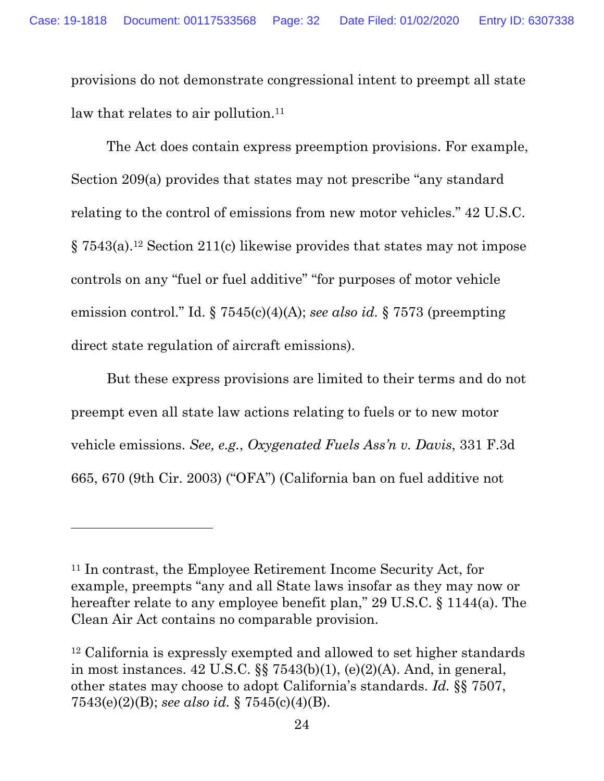provisions do not demonstrate congressional intent to preempt all state law that relates to air pollution.<sup>11</sup>

The Act does contain express preemption provisions. For example, Section 209(a) provides that states may not prescribe "any standard relating to the control of emissions from new motor vehicles." 42 U.S.C. § 7543(a).12 Section 211(c) likewise provides that states may not impose controls on any "fuel or fuel additive" "for purposes of motor vehicle emission control." Id. § 7545(c)(4)(A); *see also id.* § 7573 (preempting direct state regulation of aircraft emissions).

But these express provisions are limited to their terms and do not preempt even all state law actions relating to fuels or to new motor vehicle emissions. *See, e.g.*, *Oxygenated Fuels Ass'n v. Davis*, 331 F.3d 665, 670 (9th Cir. 2003) ("OFA") (California ban on fuel additive not

<sup>11</sup> In contrast, the Employee Retirement Income Security Act, for example, preempts "any and all State laws insofar as they may now or hereafter relate to any employee benefit plan," 29 U.S.C. § 1144(a). The Clean Air Act contains no comparable provision.

<sup>12</sup> California is expressly exempted and allowed to set higher standards in most instances.  $42 \text{ U.S.C.}$  §§  $7543(b)(1)$ , (e)(2)(A). And, in general, other states may choose to adopt California's standards. *Id.* §§ 7507, 7543(e)(2)(B); *see also id.* § 7545(c)(4)(B).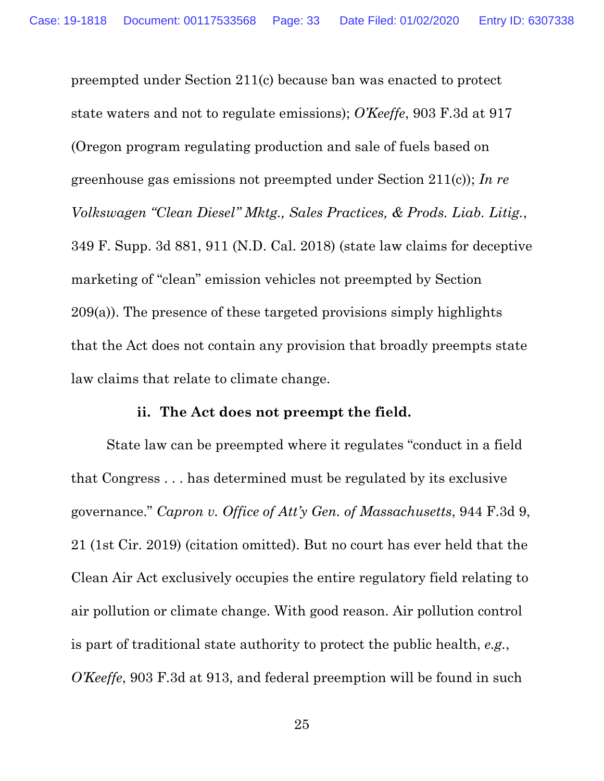preempted under Section 211(c) because ban was enacted to protect state waters and not to regulate emissions); *O'Keeffe*, 903 F.3d at 917 (Oregon program regulating production and sale of fuels based on greenhouse gas emissions not preempted under Section 211(c)); *In re Volkswagen "Clean Diesel" Mktg., Sales Practices, & Prods. Liab. Litig.*, 349 F. Supp. 3d 881, 911 (N.D. Cal. 2018) (state law claims for deceptive marketing of "clean" emission vehicles not preempted by Section 209(a)). The presence of these targeted provisions simply highlights that the Act does not contain any provision that broadly preempts state law claims that relate to climate change.

#### **ii. The Act does not preempt the field.**

State law can be preempted where it regulates "conduct in a field that Congress . . . has determined must be regulated by its exclusive governance." *Capron v. Office of Att'y Gen. of Massachusetts*, 944 F.3d 9, 21 (1st Cir. 2019) (citation omitted). But no court has ever held that the Clean Air Act exclusively occupies the entire regulatory field relating to air pollution or climate change. With good reason. Air pollution control is part of traditional state authority to protect the public health, *e.g.*, *O'Keeffe*, 903 F.3d at 913, and federal preemption will be found in such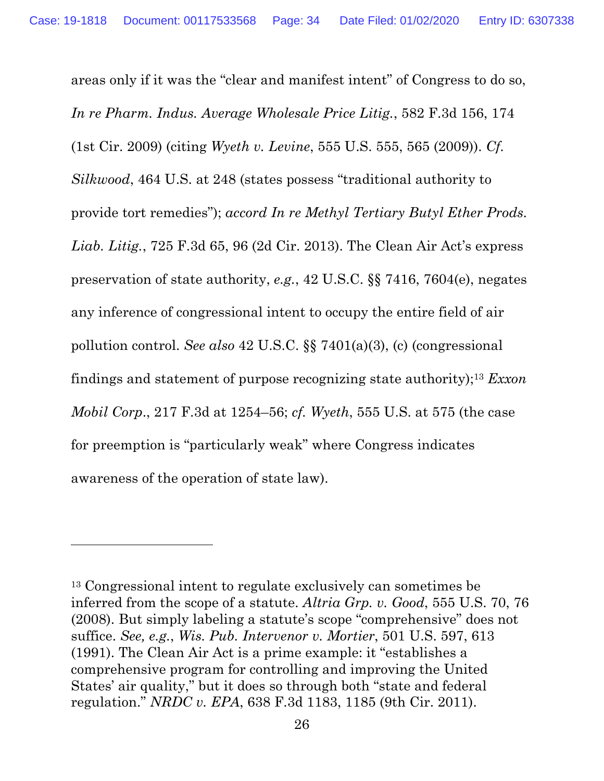areas only if it was the "clear and manifest intent" of Congress to do so, *In re Pharm. Indus. Average Wholesale Price Litig.*, 582 F.3d 156, 174 (1st Cir. 2009) (citing *Wyeth v. Levine*, 555 U.S. 555, 565 (2009)). *Cf. Silkwood*, 464 U.S. at 248 (states possess "traditional authority to provide tort remedies"); *accord In re Methyl Tertiary Butyl Ether Prods. Liab. Litig.*, 725 F.3d 65, 96 (2d Cir. 2013). The Clean Air Act's express preservation of state authority, *e.g.*, 42 U.S.C. §§ 7416, 7604(e), negates any inference of congressional intent to occupy the entire field of air pollution control. *See also* 42 U.S.C. §§ 7401(a)(3), (c) (congressional findings and statement of purpose recognizing state authority);13 *Exxon Mobil Corp*., 217 F.3d at 1254–56; *cf. Wyeth*, 555 U.S. at 575 (the case for preemption is "particularly weak" where Congress indicates awareness of the operation of state law).

<sup>13</sup> Congressional intent to regulate exclusively can sometimes be inferred from the scope of a statute. *Altria Grp. v. Good*, 555 U.S. 70, 76 (2008). But simply labeling a statute's scope "comprehensive" does not suffice. *See, e.g.*, *Wis. Pub. Intervenor v. Mortier*, 501 U.S. 597, 613 (1991). The Clean Air Act is a prime example: it "establishes a comprehensive program for controlling and improving the United States' air quality," but it does so through both "state and federal regulation." *NRDC v. EPA*, 638 F.3d 1183, 1185 (9th Cir. 2011).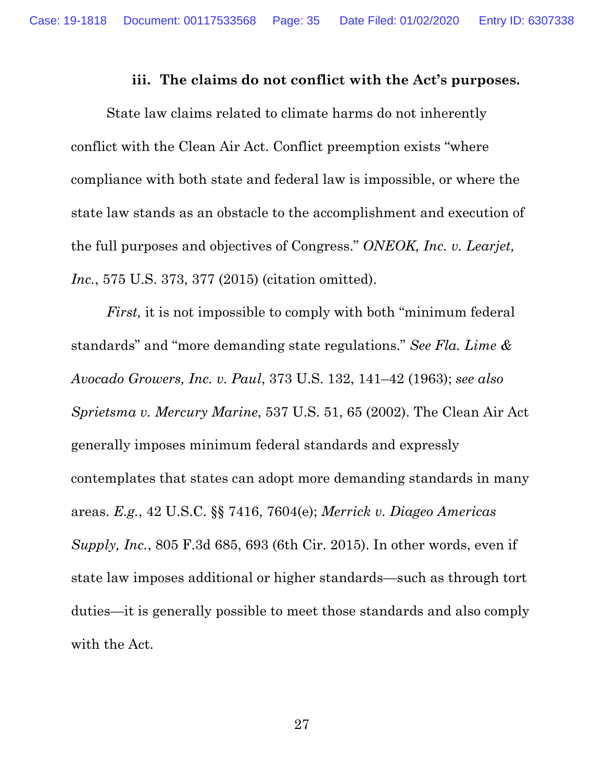#### **iii. The claims do not conflict with the Act's purposes.**

State law claims related to climate harms do not inherently conflict with the Clean Air Act. Conflict preemption exists "where compliance with both state and federal law is impossible, or where the state law stands as an obstacle to the accomplishment and execution of the full purposes and objectives of Congress." *ONEOK, Inc. v. Learjet, Inc.*, 575 U.S. 373, 377 (2015) (citation omitted).

*First,* it is not impossible to comply with both "minimum federal standards" and "more demanding state regulations." *See Fla. Lime & Avocado Growers, Inc. v. Paul*, 373 U.S. 132, 141–42 (1963); *see also Sprietsma v. Mercury Marine*, 537 U.S. 51, 65 (2002). The Clean Air Act generally imposes minimum federal standards and expressly contemplates that states can adopt more demanding standards in many areas. *E.g.*, 42 U.S.C. §§ 7416, 7604(e); *Merrick v. Diageo Americas Supply, Inc.*, 805 F.3d 685, 693 (6th Cir. 2015). In other words, even if state law imposes additional or higher standards—such as through tort duties—it is generally possible to meet those standards and also comply with the Act.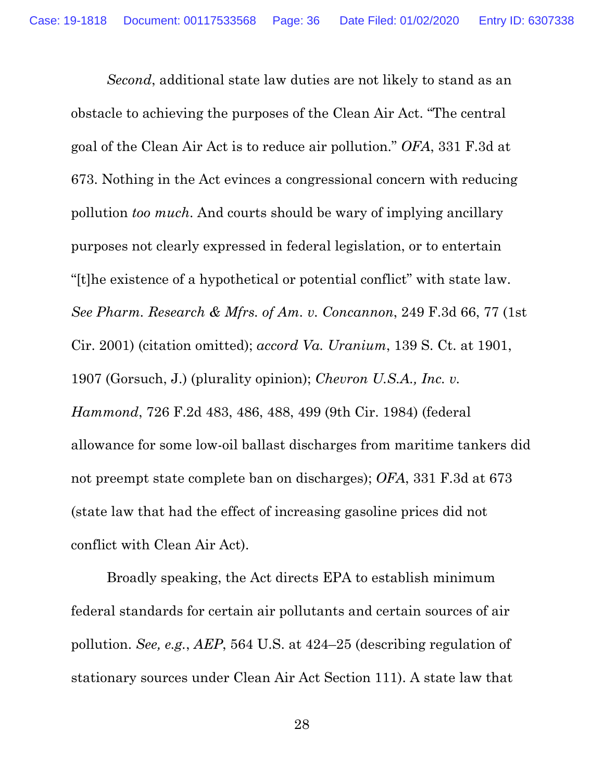*Second*, additional state law duties are not likely to stand as an obstacle to achieving the purposes of the Clean Air Act. "The central goal of the Clean Air Act is to reduce air pollution." *OFA*, 331 F.3d at 673. Nothing in the Act evinces a congressional concern with reducing pollution *too much*. And courts should be wary of implying ancillary purposes not clearly expressed in federal legislation, or to entertain "[t]he existence of a hypothetical or potential conflict" with state law. *See Pharm. Research & Mfrs. of Am. v. Concannon*, 249 F.3d 66, 77 (1st Cir. 2001) (citation omitted); *accord Va. Uranium*, 139 S. Ct. at 1901, 1907 (Gorsuch, J.) (plurality opinion); *Chevron U.S.A., Inc. v. Hammond*, 726 F.2d 483, 486, 488, 499 (9th Cir. 1984) (federal allowance for some low-oil ballast discharges from maritime tankers did not preempt state complete ban on discharges); *OFA*, 331 F.3d at 673 (state law that had the effect of increasing gasoline prices did not conflict with Clean Air Act).

Broadly speaking, the Act directs EPA to establish minimum federal standards for certain air pollutants and certain sources of air pollution. *See, e.g.*, *AEP*, 564 U.S. at 424–25 (describing regulation of stationary sources under Clean Air Act Section 111). A state law that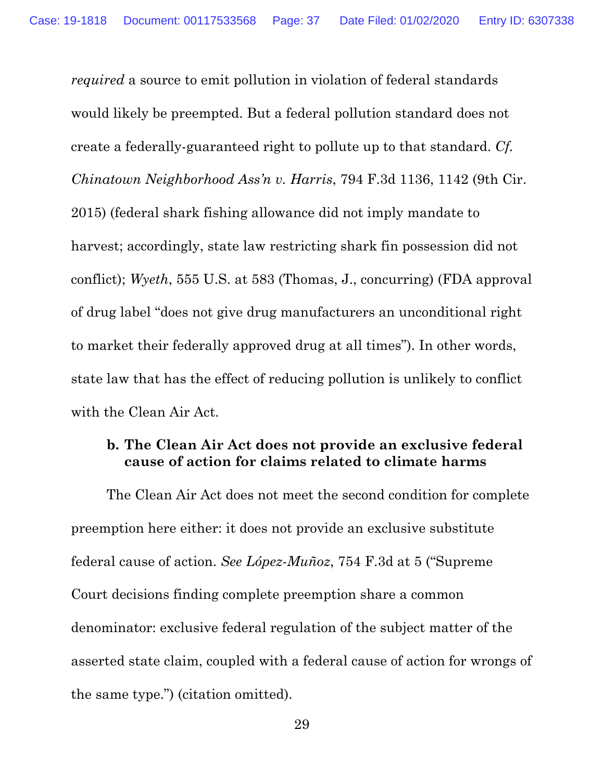*required* a source to emit pollution in violation of federal standards would likely be preempted. But a federal pollution standard does not create a federally-guaranteed right to pollute up to that standard. *Cf. Chinatown Neighborhood Ass'n v. Harris*, 794 F.3d 1136, 1142 (9th Cir. 2015) (federal shark fishing allowance did not imply mandate to harvest; accordingly, state law restricting shark fin possession did not conflict); *Wyeth*, 555 U.S. at 583 (Thomas, J., concurring) (FDA approval of drug label "does not give drug manufacturers an unconditional right to market their federally approved drug at all times"). In other words, state law that has the effect of reducing pollution is unlikely to conflict with the Clean Air Act.

# **b. The Clean Air Act does not provide an exclusive federal cause of action for claims related to climate harms**

The Clean Air Act does not meet the second condition for complete preemption here either: it does not provide an exclusive substitute federal cause of action. *See López-Muñoz*, 754 F.3d at 5 ("Supreme Court decisions finding complete preemption share a common denominator: exclusive federal regulation of the subject matter of the asserted state claim, coupled with a federal cause of action for wrongs of the same type.") (citation omitted).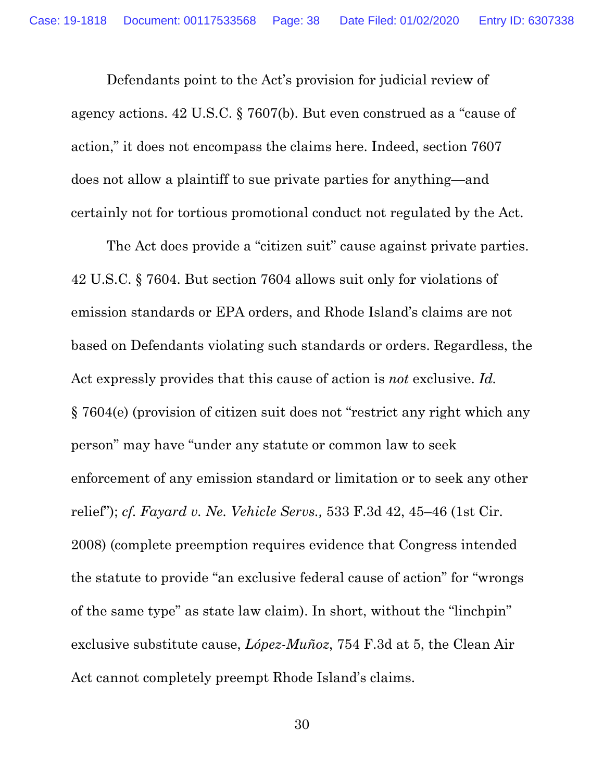Defendants point to the Act's provision for judicial review of agency actions. 42 U.S.C. § 7607(b). But even construed as a "cause of action," it does not encompass the claims here. Indeed, section 7607 does not allow a plaintiff to sue private parties for anything—and certainly not for tortious promotional conduct not regulated by the Act.

The Act does provide a "citizen suit" cause against private parties. 42 U.S.C. § 7604. But section 7604 allows suit only for violations of emission standards or EPA orders, and Rhode Island's claims are not based on Defendants violating such standards or orders. Regardless, the Act expressly provides that this cause of action is *not* exclusive. *Id.* § 7604(e) (provision of citizen suit does not "restrict any right which any person" may have "under any statute or common law to seek enforcement of any emission standard or limitation or to seek any other relief"); *cf. Fayard v. Ne. Vehicle Servs.,* 533 F.3d 42, 45–46 (1st Cir. 2008) (complete preemption requires evidence that Congress intended the statute to provide "an exclusive federal cause of action" for "wrongs of the same type" as state law claim). In short, without the "linchpin" exclusive substitute cause, *López-Muñoz*, 754 F.3d at 5, the Clean Air Act cannot completely preempt Rhode Island's claims.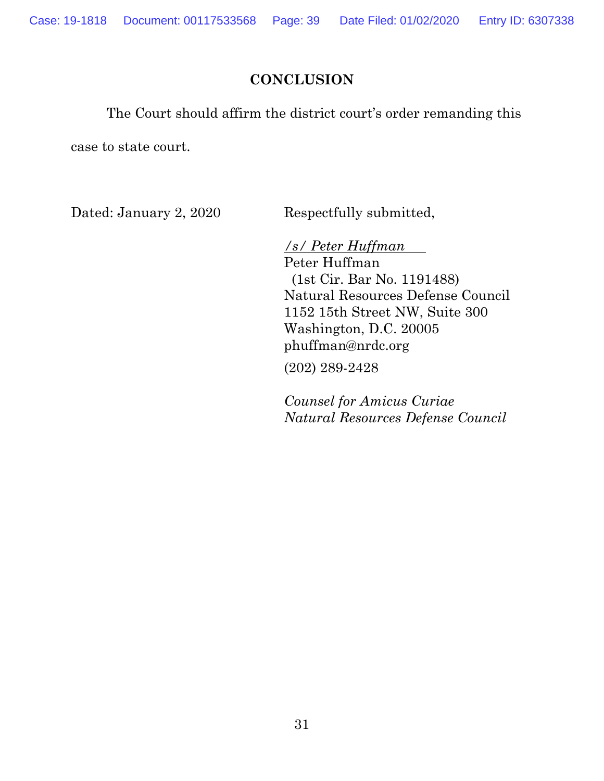### **CONCLUSION**

The Court should affirm the district court's order remanding this

case to state court.

Dated: January 2, 2020 Respectfully submitted,

*/s/ Peter Huffman*  Peter Huffman (1st Cir. Bar No. 1191488) Natural Resources Defense Council 1152 15th Street NW, Suite 300 Washington, D.C. 20005 phuffman@nrdc.org

(202) 289-2428

*Counsel for Amicus Curiae Natural Resources Defense Council*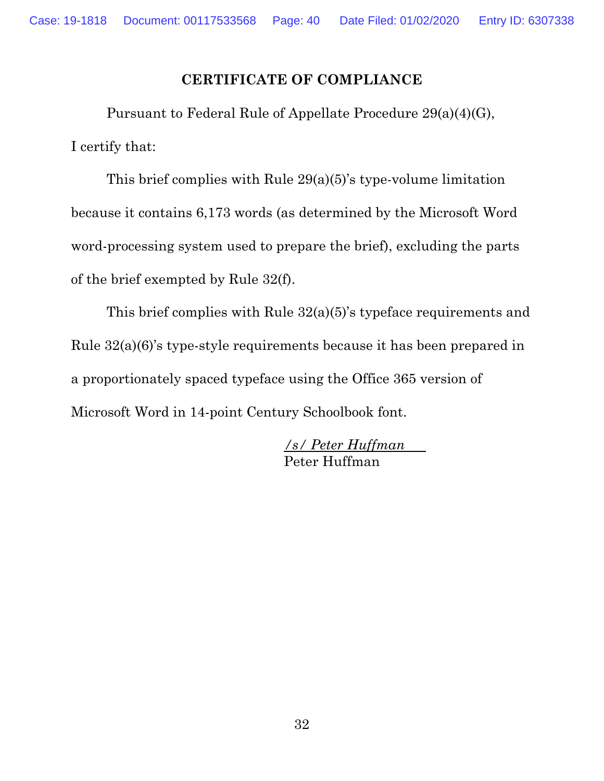## **CERTIFICATE OF COMPLIANCE**

Pursuant to Federal Rule of Appellate Procedure 29(a)(4)(G), I certify that:

This brief complies with Rule 29(a)(5)'s type-volume limitation because it contains 6,173 words (as determined by the Microsoft Word word-processing system used to prepare the brief), excluding the parts of the brief exempted by Rule 32(f).

This brief complies with Rule 32(a)(5)'s typeface requirements and Rule 32(a)(6)'s type-style requirements because it has been prepared in a proportionately spaced typeface using the Office 365 version of Microsoft Word in 14-point Century Schoolbook font.

> */s/ Peter Huffman*  Peter Huffman